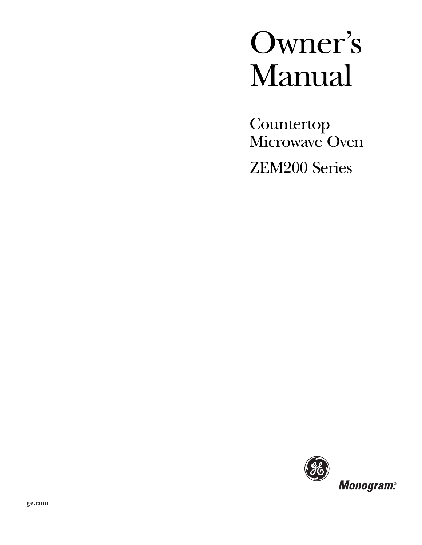# Owner's Manual

Countertop Microwave Oven ZEM200 Series

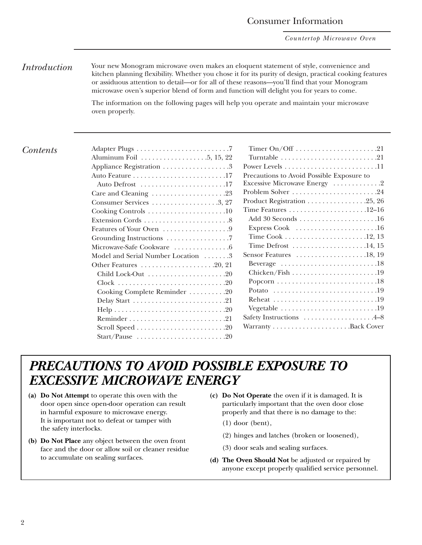*Countertop Microwave Oven*

# *Introduction* Your new Monogram microwave oven makes an eloquent statement of style, convenience and

kitchen planning flexibility. Whether you chose it for its purity of design, practical cooking features or assiduous attention to detail—or for all of these reasons—you'll find that your Monogram microwave oven's superior blend of form and function will delight you for years to come.

The information on the following pages will help you operate and maintain your microwave oven properly.

#### *Contents*

| Appliance Registration 3           |
|------------------------------------|
|                                    |
| Auto Defrost 17                    |
|                                    |
|                                    |
|                                    |
|                                    |
|                                    |
|                                    |
| Microwave-Safe Cookware 6          |
| Model and Serial Number Location 3 |
|                                    |
|                                    |
|                                    |
| Cooking Complete Reminder 20       |
|                                    |
|                                    |
|                                    |
|                                    |
|                                    |

| Timer On/Off 21                                                              |
|------------------------------------------------------------------------------|
| Turntable $\ldots \ldots \ldots \ldots \ldots \ldots \ldots 21$              |
| Power Levels $\dots\dots\dots\dots\dots\dots\dots\dots\dots$                 |
| Precautions to Avoid Possible Exposure to                                    |
| Excessive Microwave Energy 2                                                 |
| Problem Solver 24                                                            |
| Product Registration $\ldots \ldots \ldots \ldots \ldots 25, 26$             |
|                                                                              |
|                                                                              |
| Express Cook 16                                                              |
|                                                                              |
| Time Defrost 14, 15                                                          |
|                                                                              |
| Beverage $\dots \dots \dots \dots \dots \dots \dots \dots \dots \dots \dots$ |
|                                                                              |
|                                                                              |
| Potato $\ldots \ldots \ldots \ldots \ldots \ldots \ldots \ldots \ldots 19$   |
|                                                                              |
|                                                                              |
|                                                                              |
|                                                                              |
|                                                                              |

# *PRECAUTIONS TO AVOID POSSIBLE EXPOSURE TO EXCESSIVE MICROWAVE ENERGY*

- **(a) Do Not Attempt** to operate this oven with the door open since open-door operation can result in harmful exposure to microwave energy. It is important not to defeat or tamper with the safety interlocks.
- **(b) Do Not Place** any object between the oven front face and the door or allow soil or cleaner residue to accumulate on sealing surfaces.
- **(c) Do Not Operate** the oven if it is damaged. It is particularly important that the oven door close properly and that there is no damage to the:
	- (1) door (bent),
	- (2) hinges and latches (broken or loosened),
	- (3) door seals and sealing surfaces.
- **(d) The Oven Should Not** be adjusted or repaired by anyone except properly qualified service personnel.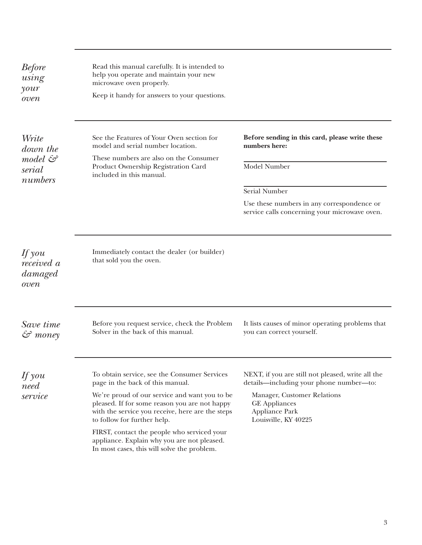<span id="page-2-0"></span>

| <b>Before</b><br>using<br>your<br>oven  | Read this manual carefully. It is intended to<br>help you operate and maintain your new<br>microwave oven properly.<br>Keep it handy for answers to your questions.                                                                                                                                                                                                                                                |                                                                                                                                                                                               |
|-----------------------------------------|--------------------------------------------------------------------------------------------------------------------------------------------------------------------------------------------------------------------------------------------------------------------------------------------------------------------------------------------------------------------------------------------------------------------|-----------------------------------------------------------------------------------------------------------------------------------------------------------------------------------------------|
| Write<br>down the<br>model &<br>serial  | See the Features of Your Oven section for<br>model and serial number location.<br>These numbers are also on the Consumer<br>Product Ownership Registration Card                                                                                                                                                                                                                                                    | Before sending in this card, please write these<br>numbers here:<br>Model Number                                                                                                              |
| numbers                                 | included in this manual.                                                                                                                                                                                                                                                                                                                                                                                           | <b>Serial Number</b>                                                                                                                                                                          |
|                                         |                                                                                                                                                                                                                                                                                                                                                                                                                    | Use these numbers in any correspondence or<br>service calls concerning your microwave oven.                                                                                                   |
| If you<br>received a<br>damaged<br>oven | Immediately contact the dealer (or builder)<br>that sold you the oven.                                                                                                                                                                                                                                                                                                                                             |                                                                                                                                                                                               |
| Save time<br>$\mathcal{S}$ money        | Before you request service, check the Problem<br>Solver in the back of this manual.                                                                                                                                                                                                                                                                                                                                | It lists causes of minor operating problems that<br>you can correct yourself.                                                                                                                 |
| $\n  If you\n$<br>need<br>service       | To obtain service, see the Consumer Services<br>page in the back of this manual.<br>We're proud of our service and want you to be<br>pleased. If for some reason you are not happy<br>with the service you receive, here are the steps<br>to follow for further help.<br>FIRST, contact the people who serviced your<br>appliance. Explain why you are not pleased.<br>In most cases, this will solve the problem. | NEXT, if you are still not pleased, write all the<br>details-including your phone number-to:<br>Manager, Customer Relations<br><b>GE</b> Appliances<br>Appliance Park<br>Louisville, KY 40225 |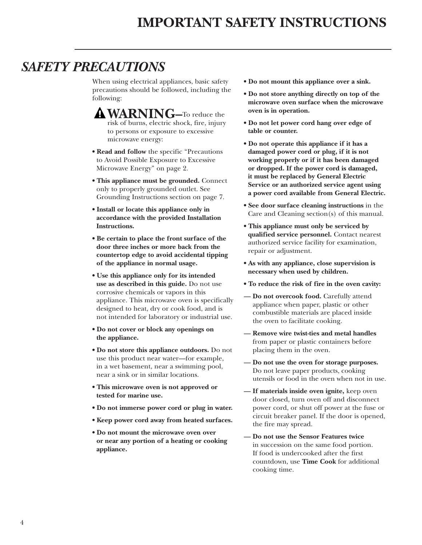# <span id="page-3-0"></span>*SAFETY PRECAUTIONS*

When using electrical appliances, basic safety precautions should be followed, including the following:

- **WARNING–**To reduce the risk of burns, electric shock, fire, injury to persons or exposure to excessive microwave energy:
- **Read and follow** the specific ''Precautions to Avoid Possible Exposure to Excessive Microwave Energy'' on page 2.
- **This appliance must be grounded.** Connect only to properly grounded outlet. See Grounding Instructions section on page 7.
- **Install or locate this appliance only in accordance with the provided Installation Instructions.**
- **Be certain to place the front surface of the door three inches or more back from the countertop edge to avoid accidental tipping of the appliance in normal usage.**
- **Use this appliance only for its intended use as described in this guide.** Do not use corrosive chemicals or vapors in this appliance. This microwave oven is specifically designed to heat, dry or cook food, and is not intended for laboratory or industrial use.
- **Do not cover or block any openings on the appliance.**
- **Do not store this appliance outdoors.** Do not use this product near water—for example, in a wet basement, near a swimming pool, near a sink or in similar locations.
- **This microwave oven is not approved or tested for marine use.**
- **Do not immerse power cord or plug in water.**
- **Keep power cord away from heated surfaces.**
- **Do not mount the microwave oven over or near any portion of a heating or cooking appliance.**
- **Do not mount this appliance over a sink.**
- **Do not store anything directly on top of the microwave oven surface when the microwave oven is in operation.**
- **Do not let power cord hang over edge of table or counter.**
- **Do not operate this appliance if it has a damaged power cord or plug, if it is not working properly or if it has been damaged or dropped. If the power cord is damaged, it must be replaced by General Electric Service or an authorized service agent using a power cord available from General Electric.**
- **See door surface cleaning instructions** in the Care and Cleaning section(s) of this manual.
- **This appliance must only be serviced by qualified service personnel.** Contact nearest authorized service facility for examination, repair or adjustment.
- **As with any appliance, close supervision is necessary when used by children.**
- **To reduce the risk of fire in the oven cavity:**
- **Do not overcook food.** Carefully attend appliance when paper, plastic or other combustible materials are placed inside the oven to facilitate cooking.
- **Remove wire twist-ties and metal handles** from paper or plastic containers before placing them in the oven.
- **Do not use the oven for storage purposes.**  Do not leave paper products, cooking utensils or food in the oven when not in use.
- **If materials inside oven ignite,** keep oven door closed, turn oven off and disconnect power cord, or shut off power at the fuse or circuit breaker panel. If the door is opened, the fire may spread.
- **Do not use the Sensor Features twice**  in succession on the same food portion. If food is undercooked after the first countdown, use **Time Cook** for additional cooking time.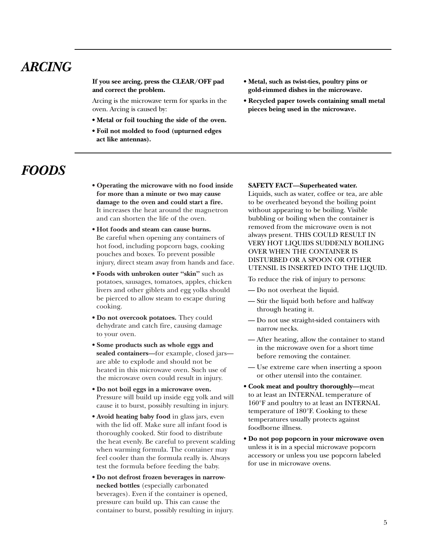# <span id="page-4-0"></span>*ARCING*

**If you see arcing, press the CLEAR/OFF pad and correct the problem.**

Arcing is the microwave term for sparks in the oven. Arcing is caused by:

- **Metal or foil touching the side of the oven.**
- **Foil not molded to food (upturned edges act like antennas).**
- **Metal, such as twist-ties, poultry pins or gold-rimmed dishes in the microwave.**
- **Recycled paper towels containing small metal pieces being used in the microwave.**

# *FOODS*

- **Operating the microwave with no food inside for more than a minute or two may cause damage to the oven and could start a fire.** It increases the heat around the magnetron and can shorten the life of the oven.
- **Hot foods and steam can cause burns.** Be careful when opening any containers of hot food, including popcorn bags, cooking pouches and boxes. To prevent possible injury, direct steam away from hands and face.
- **Foods with unbroken outer ''skin''** such as potatoes, sausages, tomatoes, apples, chicken livers and other giblets and egg yolks should be pierced to allow steam to escape during cooking.
- **Do not overcook potatoes.** They could dehydrate and catch fire, causing damage to your oven.
- **Some products such as whole eggs and sealed containers—**for example, closed jars are able to explode and should not be heated in this microwave oven. Such use of the microwave oven could result in injury.
- **Do not boil eggs in a microwave oven.** Pressure will build up inside egg yolk and will cause it to burst, possibly resulting in injury.
- **Avoid heating baby food** in glass jars, even with the lid off. Make sure all infant food is thoroughly cooked. Stir food to distribute the heat evenly. Be careful to prevent scalding when warming formula. The container may feel cooler than the formula really is. Always test the formula before feeding the baby.
- **Do not defrost frozen beverages in narrownecked bottles** (especially carbonated beverages). Even if the container is opened, pressure can build up. This can cause the container to burst, possibly resulting in injury.

#### **• SAFETY FACT—Superheated water.**

Liquids, such as water, coffee or tea, are able to be overheated beyond the boiling point without appearing to be boiling. Visible bubbling or boiling when the container is removed from the microwave oven is not always present. THIS COULD RESULT IN VERY HOT LIQUIDS SUDDENLY BOILING OVER WHEN THE CONTAINER IS DISTURBED OR A SPOON OR OTHER UTENSIL IS INSERTED INTO THE LIQUID.

To reduce the risk of injury to persons:

- Do not overheat the liquid.
- Stir the liquid both before and halfway through heating it.
- Do not use straight-sided containers with narrow necks.
- After heating, allow the container to stand in the microwave oven for a short time before removing the container.
- Use extreme care when inserting a spoon or other utensil into the container.
- **Cook meat and poultry thoroughly—**meat to at least an INTERNAL temperature of 160°F and poultry to at least an INTERNAL temperature of 180°F. Cooking to these temperatures usually protects against foodborne illness.
- **Do not pop popcorn in your microwave oven** unless it is in a special microwave popcorn accessory or unless you use popcorn labeled for use in microwave ovens.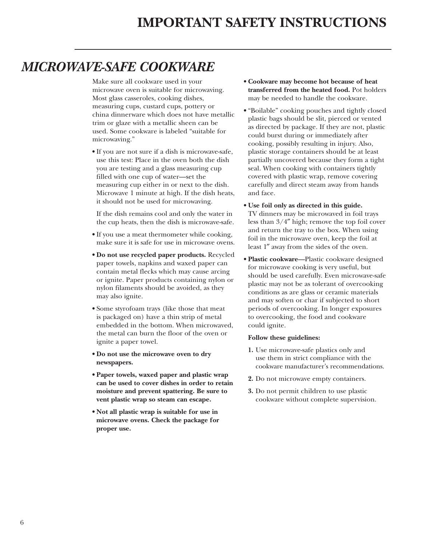# <span id="page-5-0"></span>*MICROWAVE-SAFE COOKWARE*

Make sure all cookware used in your microwave oven is suitable for microwaving. Most glass casseroles, cooking dishes, measuring cups, custard cups, pottery or china dinnerware which does not have metallic trim or glaze with a metallic sheen can be used. Some cookware is labeled "suitable for microwaving."

**•** If you are not sure if a dish is microwave-safe, use this test: Place in the oven both the dish you are testing and a glass measuring cup filled with one cup of water—set the measuring cup either in or next to the dish. Microwave 1 minute at high. If the dish heats, it should not be used for microwaving.

If the dish remains cool and only the water in the cup heats, then the dish is microwave-safe.

- **•** If you use a meat thermometer while cooking, make sure it is safe for use in microwave ovens.
- **Do not use recycled paper products.** Recycled paper towels, napkins and waxed paper can contain metal flecks which may cause arcing or ignite. Paper products containing nylon or nylon filaments should be avoided, as they may also ignite.
- **•** Some styrofoam trays (like those that meat is packaged on) have a thin strip of metal embedded in the bottom. When microwaved, the metal can burn the floor of the oven or ignite a paper towel.
- **Do not use the microwave oven to dry newspapers.**
- **Paper towels, waxed paper and plastic wrap can be used to cover dishes in order to retain moisture and prevent spattering. Be sure to vent plastic wrap so steam can escape.**
- **Not all plastic wrap is suitable for use in microwave ovens. Check the package for proper use.**
- **Cookware may become hot because of heat transferred from the heated food.** Pot holders may be needed to handle the cookware.
- **•** "Boilable" cooking pouches and tightly closed plastic bags should be slit, pierced or vented as directed by package. If they are not, plastic could burst during or immediately after cooking, possibly resulting in injury. Also, plastic storage containers should be at least partially uncovered because they form a tight seal. When cooking with containers tightly covered with plastic wrap, remove covering carefully and direct steam away from hands and face.
- **Use foil only as directed in this guide.** TV dinners may be microwaved in foil trays less than 3/4″ high; remove the top foil cover and return the tray to the box. When using foil in the microwave oven, keep the foil at least 1″ away from the sides of the oven.
- **Plastic cookware—**Plastic cookware designed for microwave cooking is very useful, but should be used carefully. Even microwave-safe plastic may not be as tolerant of overcooking conditions as are glass or ceramic materials and may soften or char if subjected to short periods of overcooking. In longer exposures to overcooking, the food and cookware could ignite.

#### **Follow these guidelines:**

- **1.** Use microwave-safe plastics only and use them in strict compliance with the cookware manufacturer's recommendations.
- **2.** Do not microwave empty containers.
- **3.** Do not permit children to use plastic cookware without complete supervision.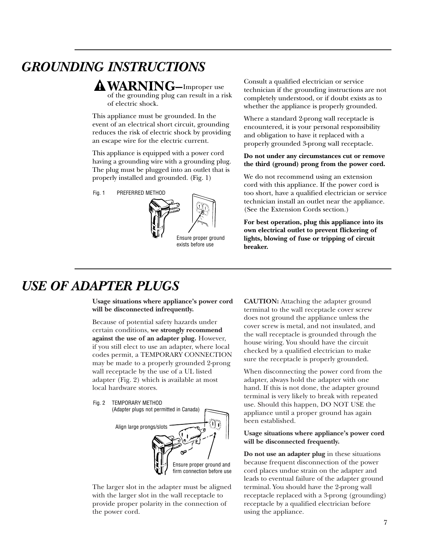# <span id="page-6-0"></span>*GROUNDING INSTRUCTIONS*

**WARNING–**Improper use of the grounding plug can result in a risk of electric shock.

This appliance must be grounded. In the event of an electrical short circuit, grounding reduces the risk of electric shock by providing an escape wire for the electric current.

This appliance is equipped with a power cord having a grounding wire with a grounding plug. The plug must be plugged into an outlet that is properly installed and grounded. (Fig. 1)

PREFERRED METHOD Fig. 1



Consult a qualified electrician or service technician if the grounding instructions are not completely understood, or if doubt exists as to whether the appliance is properly grounded.

Where a standard 2-prong wall receptacle is encountered, it is your personal responsibility and obligation to have it replaced with a properly grounded 3-prong wall receptacle.

#### **Do not under any circumstances cut or remove the third (ground) prong from the power cord.**

We do not recommend using an extension cord with this appliance. If the power cord is too short, have a qualified electrician or service technician install an outlet near the appliance. (See the Extension Cords section.)

**For best operation, plug this appliance into its own electrical outlet to prevent flickering of lights, blowing of fuse or tripping of circuit breaker.**

# *USE OF ADAPTER PLUGS*

**Usage situations where appliance's power cord will be disconnected infrequently.**

Because of potential safety hazards under certain conditions, **we strongly recommend against the use of an adapter plug.** However, if you still elect to use an adapter, where local codes permit, a TEMPORARY CONNECTION may be made to a properly grounded 2-prong wall receptacle by the use of a UL listed adapter (Fig. 2) which is available at most local hardware stores.

Fig. 2 TEMPORARY METHOD (Adapter plugs not permitted in Canada) Align large prongs/slots

> Ensure proper ground and firm connection before use

The larger slot in the adapter must be aligned with the larger slot in the wall receptacle to provide proper polarity in the connection of the power cord.

**CAUTION:** Attaching the adapter ground terminal to the wall receptacle cover screw does not ground the appliance unless the cover screw is metal, and not insulated, and the wall receptacle is grounded through the house wiring. You should have the circuit checked by a qualified electrician to make sure the receptacle is properly grounded.

When disconnecting the power cord from the adapter, always hold the adapter with one hand. If this is not done, the adapter ground terminal is very likely to break with repeated use. Should this happen, DO NOT USE the appliance until a proper ground has again been established.

#### **Usage situations where appliance's power cord will be disconnected frequently.**

**Do not use an adapter plug** in these situations because frequent disconnection of the power cord places undue strain on the adapter and leads to eventual failure of the adapter ground terminal. You should have the 2-prong wall receptacle replaced with a 3-prong (grounding) receptacle by a qualified electrician before using the appliance.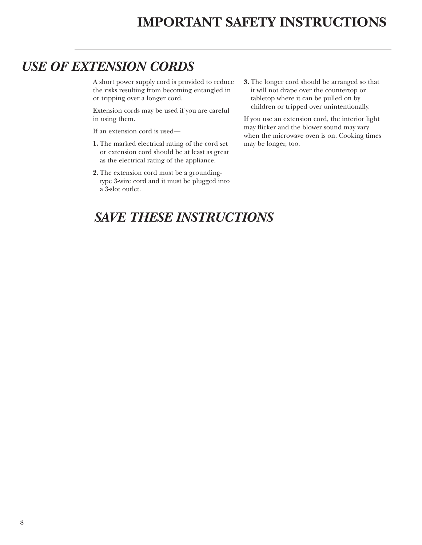# <span id="page-7-0"></span>*USE OF EXTENSION CORDS*

A short power supply cord is provided to reduce the risks resulting from becoming entangled in or tripping over a longer cord.

Extension cords may be used if you are careful in using them.

If an extension cord is used—

- **1.** The marked electrical rating of the cord set or extension cord should be at least as great as the electrical rating of the appliance.
- **2.** The extension cord must be a groundingtype 3-wire cord and it must be plugged into a 3-slot outlet.

**3.** The longer cord should be arranged so that it will not drape over the countertop or tabletop where it can be pulled on by children or tripped over unintentionally.

If you use an extension cord, the interior light may flicker and the blower sound may vary when the microwave oven is on. Cooking times may be longer, too.

# *SAVE THESE INSTRUCTIONS*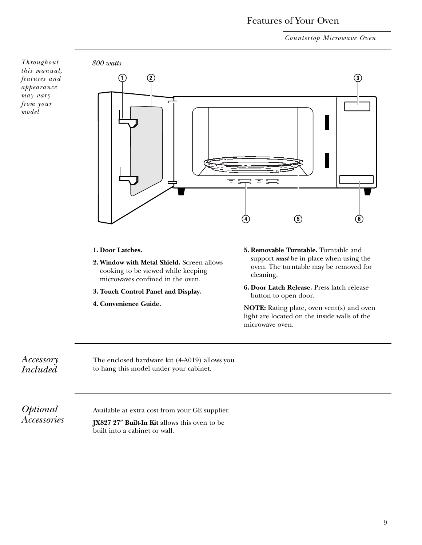### Features of Your Oven

*Countertop Microwave Oven*

<span id="page-8-0"></span>

#### **1. Door Latches.**

- **2. Window with Metal Shield.** Screen allows cooking to be viewed while keeping microwaves confined in the oven.
- **3. Touch Control Panel and Display.**
- **4. Convenience Guide.**
- **5. Removable Turntable.** Turntable and support *must* be in place when using the oven. The turntable may be removed for cleaning.
- **6. Door Latch Release.** Press latch release button to open door.

**NOTE:** Rating plate, oven vent(s) and oven light are located on the inside walls of the microwave oven.

*Accessory Included*

The enclosed hardware kit (4-A019) allows you to hang this model under your cabinet.

*Optional Accessories*

Available at extra cost from your GE supplier.

**JX827 27**″ **Built-In Kit** allows this oven to be built into a cabinet or wall.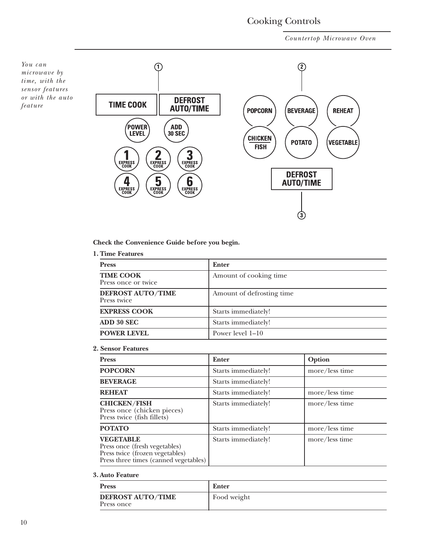# Cooking Controls

*Countertop Microwave Oven*

<span id="page-9-0"></span>

**Check the Convenience Guide before you begin.**

**1. Time Features**

| <b>Press</b>                            | Enter                     |
|-----------------------------------------|---------------------------|
| <b>TIME COOK</b><br>Press once or twice | Amount of cooking time    |
| <b>DEFROST AUTO/TIME</b><br>Press twice | Amount of defrosting time |
| <b>EXPRESS COOK</b>                     | Starts immediately!       |
| ADD 30 SEC                              | Starts immediately!       |
| <b>POWER LEVEL</b>                      | Power level 1–10          |

#### **2. Sensor Features**

| <b>Press</b>                                                                                                                  | <b>Enter</b>        | Option         |
|-------------------------------------------------------------------------------------------------------------------------------|---------------------|----------------|
| <b>POPCORN</b>                                                                                                                | Starts immediately! | more/less time |
| <b>BEVERAGE</b>                                                                                                               | Starts immediately! |                |
| <b>REHEAT</b>                                                                                                                 | Starts immediately! | more/less time |
| <b>CHICKEN/FISH</b><br>Press once (chicken pieces)<br>Press twice (fish fillets)                                              | Starts immediately! | more/less time |
| <b>POTATO</b>                                                                                                                 | Starts immediately! | more/less time |
| <b>VEGETABLE</b><br>Press once (fresh vegetables)<br>Press twice (frozen vegetables)<br>Press three times (canned vegetables) | Starts immediately! | more/less time |

#### **3. Auto Feature**

| <b>Press</b>                           | Enter       |
|----------------------------------------|-------------|
| <b>DEFROST AUTO/TIME</b><br>Press once | Food weight |

*You can*

*feature*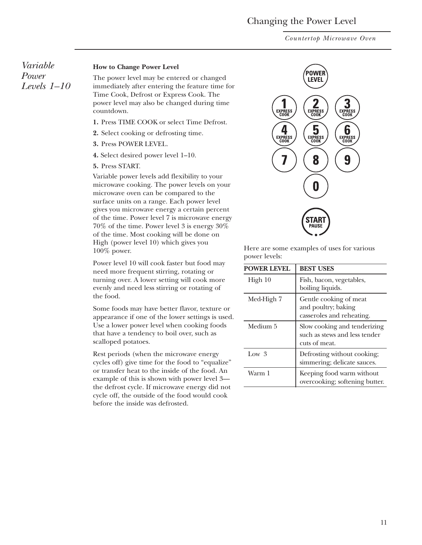# Changing the Power Level

*Countertop Microwave Oven*

<span id="page-10-0"></span>*Variable Power Levels 1–10*

#### **How to Change Power Level**

The power level may be entered or changed immediately after entering the feature time for Time Cook, Defrost or Express Cook. The power level may also be changed during time countdown.

- **1.** Press TIME COOK or select Time Defrost.
- **2.** Select cooking or defrosting time.
- **3.** Press POWER LEVEL.
- **4.** Select desired power level 1–10.
- **5.** Press START.

Variable power levels add flexibility to your microwave cooking. The power levels on your microwave oven can be compared to the surface units on a range. Each power level gives you microwave energy a certain percent of the time. Power level 7 is microwave energy 70% of the time. Power level 3 is energy 30% of the time. Most cooking will be done on High (power level 10) which gives you 100% power.

Power level 10 will cook faster but food may need more frequent stirring, rotating or turning over. A lower setting will cook more evenly and need less stirring or rotating of the food.

Some foods may have better flavor, texture or appearance if one of the lower settings is used. Use a lower power level when cooking foods that have a tendency to boil over, such as scalloped potatoes.

Rest periods (when the microwave energy cycles off) give time for the food to "equalize" or transfer heat to the inside of the food. An example of this is shown with power level 3 the defrost cycle. If microwave energy did not cycle off, the outside of the food would cook before the inside was defrosted.



Here are some examples of uses for various power levels:

| <b>POWER LEVEL</b> | <b>BEST USES</b>                                                               |
|--------------------|--------------------------------------------------------------------------------|
| High 10            | Fish, bacon, vegetables,<br>boiling liquids.                                   |
| Med-High 7         | Gentle cooking of meat<br>and poultry; baking<br>casseroles and reheating.     |
| Medium 5           | Slow cooking and tenderizing<br>such as stews and less tender<br>cuts of meat. |
| Low <sub>3</sub>   | Defrosting without cooking;<br>simmering; delicate sauces.                     |
| Warm 1             | Keeping food warm without<br>overcooking; softening butter.                    |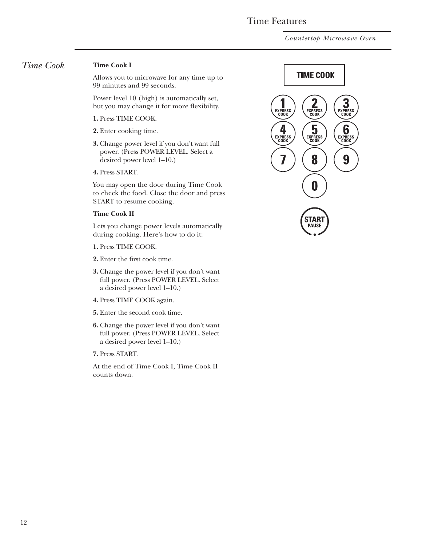# Time Features

*Countertop Microwave Oven*

#### <span id="page-11-0"></span>*Time Cook* **Time Cook I**

Allows you to microwave for any time up to 99 minutes and 99 seconds.

Power level 10 (high) is automatically set, but you may change it for more flexibility.

- **1.** Press TIME COOK.
- **2.** Enter cooking time.
- **3.** Change power level if you don't want full power. (Press POWER LEVEL. Select a desired power level 1–10.)
- **4.** Press START.

You may open the door during Time Cook to check the food. Close the door and press START to resume cooking.

#### **Time Cook II**

Lets you change power levels automatically during cooking. Here's how to do it:

- **1.** Press TIME COOK.
- **2.** Enter the first cook time.
- **3.** Change the power level if you don't want full power. (Press POWER LEVEL. Select a desired power level 1–10.)
- **4.** Press TIME COOK again.
- **5.** Enter the second cook time.
- **6.** Change the power level if you don't want full power. (Press POWER LEVEL. Select a desired power level 1–10.)
- **7.** Press START.

At the end of Time Cook I, Time Cook II counts down.

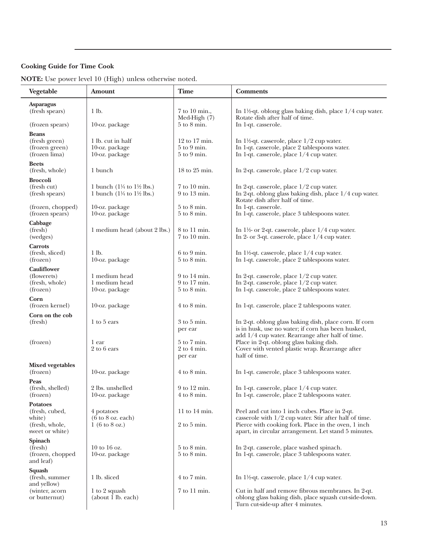### **Cooking Guide for Time Cook**

**NOTE:** Use power level 10 (High) unless otherwise noted.

| Vegetable                                                                        | Amount                                                                                             | <b>Time</b>                                                      | <b>Comments</b>                                                                                                                                                                                                           |
|----------------------------------------------------------------------------------|----------------------------------------------------------------------------------------------------|------------------------------------------------------------------|---------------------------------------------------------------------------------------------------------------------------------------------------------------------------------------------------------------------------|
| <b>Asparagus</b><br>(fresh spears)                                               | 1 lb.                                                                                              | $7$ to $10$ min.,<br>Med-High $(7)$                              | In 1½-qt. oblong glass baking dish, place $1/4$ cup water.<br>Rotate dish after half of time.                                                                                                                             |
| (frozen spears)                                                                  | 10-oz. package                                                                                     | $5$ to $8$ min.                                                  | In 1-qt. casserole.                                                                                                                                                                                                       |
| <b>Beans</b><br>(fresh green)<br>(frozen green)<br>(frozen lima)                 | 1 lb. cut in half<br>10-oz. package<br>10-oz. package                                              | $12$ to $17$ min.<br>$5$ to $9$ min.<br>$5$ to $9$ min.          | In 1½-qt. casserole, place $1/2$ cup water.<br>In 1-qt. casserole, place 2 tablespoons water.<br>In 1-qt. casserole, place $1/4$ cup water.                                                                               |
| <b>Beets</b><br>(fresh, whole)                                                   | 1 bunch                                                                                            | 18 to 25 min.                                                    | In 2-qt. casserole, place $1/2$ cup water.                                                                                                                                                                                |
| <b>Broccoli</b><br>(fresh cut)<br>(fresh spears)                                 | 1 bunch $(1\frac{1}{4}$ to $1\frac{1}{2}$ lbs.)<br>1 bunch $(1\frac{1}{4}$ to $1\frac{1}{2}$ lbs.) | $7$ to $10$ min.<br>9 to 13 min.                                 | In 2-qt. casserole, place $1/2$ cup water.<br>In 2-qt. oblong glass baking dish, place 1/4 cup water.<br>Rotate dish after half of time.                                                                                  |
| (frozen, chopped)<br>(frozen spears)                                             | 10-oz. package<br>10-oz. package                                                                   | $5$ to $8$ min.<br>$5$ to $8$ min.                               | In 1-qt. casserole.<br>In 1-qt. casserole, place 3 tablespoons water.                                                                                                                                                     |
| Cabbage<br>(fresh)<br>(wedges)                                                   | 1 medium head (about 2 lbs.)                                                                       | 8 to 11 min.<br>7 to 10 min.                                     | In $1\frac{1}{2}$ or 2-qt. casserole, place $1/4$ cup water.<br>In 2- or 3-qt. casserole, place 1/4 cup water.                                                                                                            |
| <b>Carrots</b><br>(fresh, sliced)<br>(frozen)                                    | 1 lb.<br>10-oz. package                                                                            | $6$ to $9$ min.<br>$5$ to $8$ min.                               | In $1\frac{1}{2}$ -qt. casserole, place $1/4$ cup water.<br>In 1-qt. casserole, place 2 tablespoons water.                                                                                                                |
| <b>Cauliflower</b><br>(flowerets)<br>(fresh, whole)<br>(frozen)                  | 1 medium head<br>1 medium head<br>10-oz. package                                                   | $9$ to 14 min.<br>9 to 17 min.<br>$5 \text{ to } 8 \text{ min.}$ | In 2-qt. casserole, place $1/2$ cup water.<br>In 2-qt. casserole, place 1/2 cup water.<br>In 1-qt. casserole, place 2 tablespoons water.                                                                                  |
| Corn<br>(frozen kernel)                                                          | 10-oz. package                                                                                     | $4$ to $8$ min.                                                  | In 1-qt. casserole, place 2 tablespoons water.                                                                                                                                                                            |
| Corn on the cob<br>(fresh)                                                       | 1 to 5 ears                                                                                        | $3$ to $5$ min.<br>per ear                                       | In 2-qt. oblong glass baking dish, place corn. If corn<br>is in husk, use no water; if corn has been husked,                                                                                                              |
| (frozen)                                                                         | 1 ear<br>2 to 6 ears                                                                               | $5 \text{ to } 7 \text{ min.}$<br>$2$ to $4$ min.<br>per ear     | add 1/4 cup water. Rearrange after half of time.<br>Place in 2-qt. oblong glass baking dish.<br>Cover with vented plastic wrap. Rearrange after<br>half of time.                                                          |
| <b>Mixed vegetables</b><br>(frozen)                                              | 10-oz. package                                                                                     | $4$ to $8$ min.                                                  | In 1-qt. casserole, place 3 tablespoons water.                                                                                                                                                                            |
| Peas<br>(fresh, shelled)<br>(frozen)                                             | 2 lbs. unshelled<br>10-oz. package                                                                 | 9 to 12 min.<br>$4$ to $8$ min.                                  | In 1-qt. casserole, place 1/4 cup water.<br>In 1-qt. casserole, place 2 tablespoons water.                                                                                                                                |
| <b>Potatoes</b><br>(fresh, cubed,<br>white)<br>(fresh, whole,<br>sweet or white) | 4 potatoes<br>$(6 \text{ to } 8 \text{ oz. each})$<br>$1(6 \text{ to } 8 \text{ oz.})$             | 11 to $14 \text{ min.}$<br>$2$ to $5$ min.                       | Peel and cut into 1 inch cubes. Place in 2-qt.<br>casserole with $1/2$ cup water. Stir after half of time.<br>Pierce with cooking fork. Place in the oven, 1 inch<br>apart, in circular arrangement. Let stand 5 minutes. |
| Spinach<br>(fresh)<br>(frozen, chopped<br>and leaf)                              | $10$ to $16$ oz.<br>10-oz. package                                                                 | $5$ to $8$ min.<br>$5$ to $8$ min.                               | In 2-qt. casserole, place washed spinach.<br>In 1-qt. casserole, place 3 tablespoons water.                                                                                                                               |
| Squash<br>(fresh, summer                                                         | 1 lb. sliced                                                                                       | $4$ to $7$ min.                                                  | In 1½-qt. casserole, place $1/4$ cup water.                                                                                                                                                                               |
| and yellow)<br>(winter, acorn<br>or butternut)                                   | 1 to 2 squash<br>(about 1 lb. each)                                                                | 7 to 11 min.                                                     | Cut in half and remove fibrous membranes. In 2-qt.<br>oblong glass baking dish, place squash cut-side-down.<br>Turn cut-side-up after 4 minutes.                                                                          |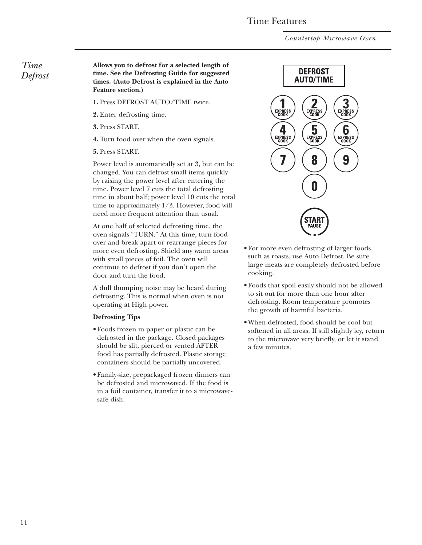### Time Features

*Countertop Microwave Oven*

### <span id="page-13-0"></span>*Time Defrost*

**Allows you to defrost for a selected length of time. See the Defrosting Guide for suggested times. (Auto Defrost is explained in the Auto Feature section.)**

- **1.** Press DEFROST AUTO/TIME twice.
- **2.** Enter defrosting time.
- **3.** Press START.
- **4.** Turn food over when the oven signals.
- **5.** Press START.

Power level is automatically set at 3, but can be changed. You can defrost small items quickly by raising the power level after entering the time. Power level 7 cuts the total defrosting time in about half; power level 10 cuts the total time to approximately 1/3. However, food will need more frequent attention than usual.

At one half of selected defrosting time, the oven signals "TURN." At this time, turn food over and break apart or rearrange pieces for more even defrosting. Shield any warm areas with small pieces of foil. The oven will continue to defrost if you don't open the door and turn the food.

A dull thumping noise may be heard during defrosting. This is normal when oven is not operating at High power.

#### **Defrosting Tips**

- Foods frozen in paper or plastic can be defrosted in the package. Closed packages should be slit, pierced or vented AFTER food has partially defrosted. Plastic storage containers should be partially uncovered.
- Family-size, prepackaged frozen dinners can be defrosted and microwaved. If the food is in a foil container, transfer it to a microwavesafe dish.



- For more even defrosting of larger foods, such as roasts, use Auto Defrost. Be sure large meats are completely defrosted before cooking.
- Foods that spoil easily should not be allowed to sit out for more than one hour after defrosting. Room temperature promotes the growth of harmful bacteria.
- When defrosted, food should be cool but softened in all areas. If still slightly icy, return to the microwave very briefly, or let it stand a few minutes.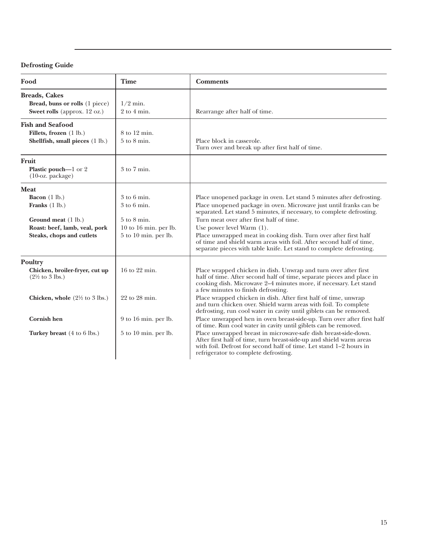### **Defrosting Guide**

| Food                                                                                                                                                                                                | <b>Time</b>                                                                                              | <b>Comments</b>                                                                                                                                                                                                                                                                                                                                                                                                                                                                                                                                                                                                                                                                                                                                                                                                                                                       |
|-----------------------------------------------------------------------------------------------------------------------------------------------------------------------------------------------------|----------------------------------------------------------------------------------------------------------|-----------------------------------------------------------------------------------------------------------------------------------------------------------------------------------------------------------------------------------------------------------------------------------------------------------------------------------------------------------------------------------------------------------------------------------------------------------------------------------------------------------------------------------------------------------------------------------------------------------------------------------------------------------------------------------------------------------------------------------------------------------------------------------------------------------------------------------------------------------------------|
| <b>Breads, Cakes</b><br>Bread, buns or rolls (1 piece)<br>Sweet rolls (approx. 12 oz.)                                                                                                              | $1/2$ min.<br>$2$ to $4$ min.                                                                            | Rearrange after half of time.                                                                                                                                                                                                                                                                                                                                                                                                                                                                                                                                                                                                                                                                                                                                                                                                                                         |
| <b>Fish and Seafood</b><br>Fillets, frozen (1 lb.)<br>Shellfish, small pieces (1 lb.)                                                                                                               | 8 to 12 min.<br>$5$ to $8$ min.                                                                          | Place block in casserole.<br>Turn over and break up after first half of time.                                                                                                                                                                                                                                                                                                                                                                                                                                                                                                                                                                                                                                                                                                                                                                                         |
| Fruit<br><b>Plastic pouch—1</b> or $2$<br>$(10$ -oz. package)                                                                                                                                       | $3$ to $7$ min.                                                                                          |                                                                                                                                                                                                                                                                                                                                                                                                                                                                                                                                                                                                                                                                                                                                                                                                                                                                       |
| <b>Meat</b><br>Bacon $(1 \text{ lb.})$<br>Franks $(1 lb.)$<br>Ground meat (1 lb.)<br>Roast: beef, lamb, veal, pork<br>Steaks, chops and cutlets                                                     | $3$ to 6 min.<br>$3$ to 6 min.<br>$5$ to $8$ min.<br>$10$ to $16$ min. per lb.<br>$5$ to 10 min. per lb. | Place unopened package in oven. Let stand 5 minutes after defrosting.<br>Place unopened package in oven. Microwave just until franks can be<br>separated. Let stand 5 minutes, if necessary, to complete defrosting.<br>Turn meat over after first half of time.<br>Use power level Warm $(1)$ .<br>Place unwrapped meat in cooking dish. Turn over after first half<br>of time and shield warm areas with foil. After second half of time,<br>separate pieces with table knife. Let stand to complete defrosting.                                                                                                                                                                                                                                                                                                                                                    |
| Poultry<br>Chicken, broiler-fryer, cut up<br>$(2\frac{1}{2}$ to 3 lbs.)<br><b>Chicken, whole</b> $(2\frac{1}{2}$ to 3 lbs.)<br><b>Cornish hen</b><br>Turkey breast $(4 \text{ to } 6 \text{ lbs.})$ | 16 to 22 min.<br>22 to 28 min.<br>9 to 16 min. per lb.<br>5 to 10 min. per lb.                           | Place wrapped chicken in dish. Unwrap and turn over after first<br>half of time. After second half of time, separate pieces and place in<br>cooking dish. Microwave 2–4 minutes more, if necessary. Let stand<br>a few minutes to finish defrosting.<br>Place wrapped chicken in dish. After first half of time, unwrap<br>and turn chicken over. Shield warm areas with foil. To complete<br>defrosting, run cool water in cavity until giblets can be removed.<br>Place unwrapped hen in oven breast-side-up. Turn over after first half<br>of time. Run cool water in cavity until giblets can be removed.<br>Place unwrapped breast in microwave-safe dish breast-side-down.<br>After first half of time, turn breast-side-up and shield warm areas<br>with foil. Defrost for second half of time. Let stand 1-2 hours in<br>refrigerator to complete defrosting. |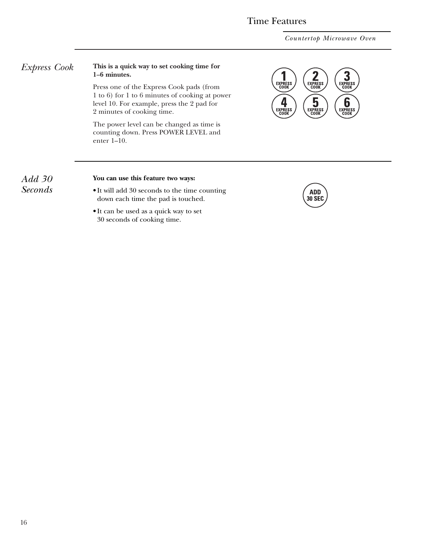# Time Features

*Countertop Microwave Oven*

#### <span id="page-15-0"></span>*Express Cook* **This is a quick way to set cooking time for 1–6 minutes.**

Press one of the Express Cook pads (from 1 to 6) for 1 to 6 minutes of cooking at power level 10. For example, press the 2 pad for 2 minutes of cooking time.

The power level can be changed as time is counting down. Press POWER LEVEL and enter 1–10.



### *Add 30 Seconds*

#### **You can use this feature two ways:**

- It will add 30 seconds to the time counting down each time the pad is touched.
- It can be used as a quick way to set 30 seconds of cooking time.

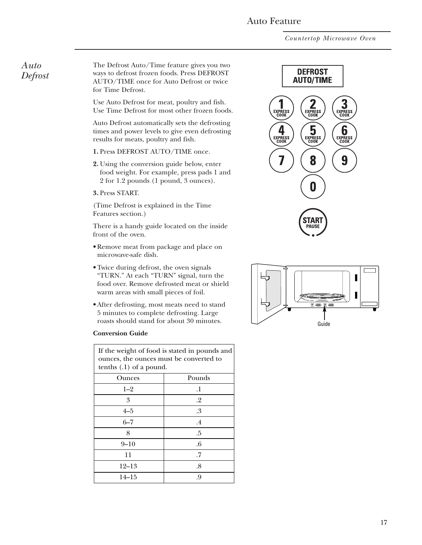### Auto Feature

*Countertop Microwave Oven*

### <span id="page-16-0"></span>*Auto Defrost*

The Defrost Auto/Time feature gives you two ways to defrost frozen foods. Press DEFROST AUTO/TIME once for Auto Defrost or twice for Time Defrost.

Use Auto Defrost for meat, poultry and fish. Use Time Defrost for most other frozen foods.

Auto Defrost automatically sets the defrosting times and power levels to give even defrosting results for meats, poultry and fish.

- **1.** Press DEFROST AUTO/TIME once.
- **2.** Using the conversion guide below, enter food weight. For example, press pads 1 and 2 for 1.2 pounds (1 pound, 3 ounces).

**3.** Press START.

(Time Defrost is explained in the Time Features section.)

There is a handy guide located on the inside front of the oven.

- Remove meat from package and place on microwave-safe dish.
- Twice during defrost, the oven signals "TURN." At each "TURN" signal, turn the food over. Remove defrosted meat or shield warm areas with small pieces of foil.
- After defrosting, most meats need to stand 5 minutes to complete defrosting. Large roasts should stand for about 30 minutes.

#### **Conversion Guide**

| If the weight of food is stated in pounds and<br>ounces, the ounces must be converted to<br>tenths $(0.1)$ of a pound. |         |  |
|------------------------------------------------------------------------------------------------------------------------|---------|--|
| Ounces                                                                                                                 | Pounds  |  |
| $1 - 2$                                                                                                                | $\cdot$ |  |
| 3                                                                                                                      | $.2\,$  |  |
| $4 - 5$                                                                                                                | .3      |  |
| $6 - 7$                                                                                                                | $.4\,$  |  |
| 8                                                                                                                      | .5      |  |
| $9 - 10$                                                                                                               | .6      |  |
| 11                                                                                                                     | .7      |  |
| $12 - 13$                                                                                                              | .8      |  |
| $14 - 15$                                                                                                              | .9      |  |



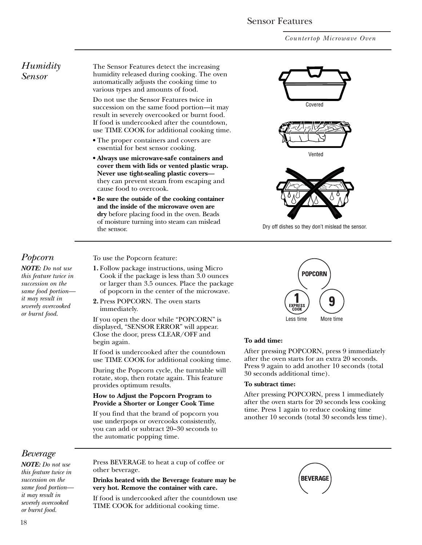### Sensor Features

*Countertop Microwave Oven*

### <span id="page-17-0"></span>*Humidity Sensor*

The Sensor Features detect the increasing humidity released during cooking. The oven automatically adjusts the cooking time to various types and amounts of food.

Do not use the Sensor Features twice in succession on the same food portion—it may result in severely overcooked or burnt food. If food is undercooked after the countdown, use TIME COOK for additional cooking time.

- **•** The proper containers and covers are essential for best sensor cooking.
- **Always use microwave-safe containers and cover them with lids or vented plastic wrap. Never use tight-sealing plastic covers** they can prevent steam from escaping and cause food to overcook.
- **Be sure the outside of the cooking container and the inside of the microwave oven are dry** before placing food in the oven. Beads of moisture turning into steam can mislead the sensor.



*NOTE: Do not use this feature twice in succession on the same food portion it may result in severely overcooked or burnt food.*

To use the Popcorn feature:

- **1.** Follow package instructions, using Micro Cook if the package is less than 3.0 ounces or larger than 3.5 ounces. Place the package of popcorn in the center of the microwave.
- **2.** Press POPCORN. The oven starts immediately.

If you open the door while "POPCORN" is displayed, "SENSOR ERROR" will appear. Close the door, press CLEAR/OFF and begin again.

If food is undercooked after the countdown use TIME COOK for additional cooking time.

During the Popcorn cycle, the turntable will rotate, stop, then rotate again. This feature provides optimum results.

#### **How to Adjust the Popcorn Program to Provide a Shorter or Longer Cook Time**

If you find that the brand of popcorn you use underpops or overcooks consistently, you can add or subtract 20–30 seconds to the automatic popping time.



Dry off dishes so they don't mislead the sensor.



#### **To add time:**

After pressing POPCORN, press 9 immediately after the oven starts for an extra 20 seconds. Press 9 again to add another 10 seconds (total 30 seconds additional time).

#### **To subtract time:**

After pressing POPCORN, press 1 immediately after the oven starts for 20 seconds less cooking time. Press 1 again to reduce cooking time another 10 seconds (total 30 seconds less time).

# *Beverage*

*NOTE: Do not use this feature twice in succession on the same food portion it may result in severely overcooked or burnt food.*

Press BEVERAGE to heat a cup of coffee or other beverage.

#### **Drinks heated with the Beverage feature may be very hot. Remove the container with care.**

If food is undercooked after the countdown use TIME COOK for additional cooking time.

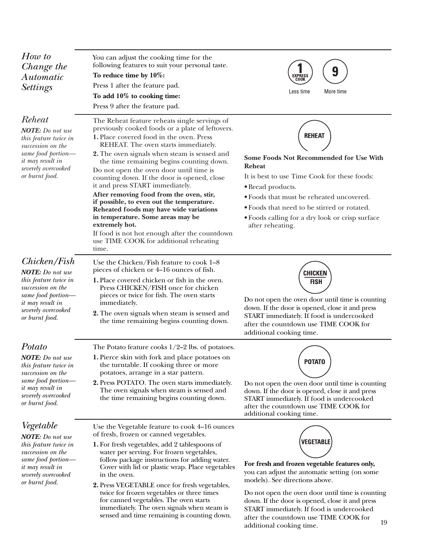<span id="page-18-0"></span>

| How to<br>Change the<br>Automatic<br><b>Settings</b>                                                                                                                      | You can adjust the cooking time for the<br>following features to suit your personal taste.<br>To reduce time by 10%:<br>Press 1 after the feature pad.<br>To add 10% to cooking time:<br>Press 9 after the feature pad.                                                                                                                                                                                                                                                                                                                                                                                                                                                                                       | 9<br>EXPRESS<br>COOK<br>Less time<br>More time                                                                                                                                                                                                                                                                   |
|---------------------------------------------------------------------------------------------------------------------------------------------------------------------------|---------------------------------------------------------------------------------------------------------------------------------------------------------------------------------------------------------------------------------------------------------------------------------------------------------------------------------------------------------------------------------------------------------------------------------------------------------------------------------------------------------------------------------------------------------------------------------------------------------------------------------------------------------------------------------------------------------------|------------------------------------------------------------------------------------------------------------------------------------------------------------------------------------------------------------------------------------------------------------------------------------------------------------------|
| Reheat<br><b>NOTE:</b> Do not use<br>this feature twice in<br>succession on the<br>same food portion-<br><i>it may result in</i><br>severely overcooked<br>or burnt food. | The Reheat feature reheats single servings of<br>previously cooked foods or a plate of leftovers.<br>1. Place covered food in the oven. Press<br>REHEAT. The oven starts immediately.<br>2. The oven signals when steam is sensed and<br>the time remaining begins counting down.<br>Do not open the oven door until time is<br>counting down. If the door is opened, close<br>it and press START immediately.<br>After removing food from the oven, stir,<br>if possible, to even out the temperature.<br>Reheated foods may have wide variations<br>in temperature. Some areas may be<br>extremely hot.<br>If food is not hot enough after the countdown<br>use TIME COOK for additional reheating<br>time. | <b>REHEAT</b><br>Some Foods Not Recommended for Use With<br><b>Reheat</b><br>It is best to use Time Cook for these foods:<br>• Bread products.<br>· Foods that must be reheated uncovered.<br>• Foods that need to be stirred or rotated.<br>• Foods calling for a dry look or crisp surface<br>after reheating. |
| Chicken/Fish<br><b>NOTE:</b> Do not use<br>this feature twice in<br>succession on the<br>same food portion-<br>it may result in<br>severely overcooked<br>or burnt food.  | Use the Chicken/Fish feature to cook 1-8<br>pieces of chicken or 4–16 ounces of fish.<br>1. Place covered chicken or fish in the oven.<br>Press CHICKEN/FISH once for chicken<br>pieces or twice for fish. The oven starts<br>immediately.<br>2. The oven signals when steam is sensed and<br>the time remaining begins counting down.                                                                                                                                                                                                                                                                                                                                                                        | CHICKEN<br><b>FISH</b><br>Do not open the oven door until time is counting<br>down. If the door is opened, close it and press<br>START immediately. If food is undercooked<br>after the countdown use TIME COOK for<br>additional cooking time.                                                                  |
| Potato<br><b>NOTE:</b> Do not use<br>this feature twice in<br>succession on the<br>same food portion-<br><i>it may result in</i><br>severely overcooked<br>or burnt food. | The Potato feature cooks $1/2-2$ lbs. of potatoes.<br>1. Pierce skin with fork and place potatoes on<br>the turntable. If cooking three or more<br>potatoes, arrange in a star pattern.<br><b>2.</b> Press POTATO. The oven starts immediately.<br>The oven signals when steam is sensed and<br>the time remaining begins counting down.                                                                                                                                                                                                                                                                                                                                                                      | <b>POTATO</b><br>Do not open the oven door until time is counting<br>down. If the door is opened, close it and press<br>START immediately. If food is undercooked<br>after the countdown use TIME COOK for<br>additional cooking time.                                                                           |
| Vegetable<br><b>NOTE:</b> Do not use<br>this feature twice in<br>succession on the<br>same food portion-<br>it may result in<br>severely overcooked<br>or burnt food.     | Use the Vegetable feature to cook 4–16 ounces<br>of fresh, frozen or canned vegetables.<br>1. For fresh vegetables, add 2 tablespoons of<br>water per serving. For frozen vegetables,<br>follow package instructions for adding water.<br>Cover with lid or plastic wrap. Place vegetables<br>in the oven.<br>2. Press VEGETABLE once for fresh vegetables,<br>twice for frozen vegetables or three times<br>for canned vegetables. The oven starts<br>immediately. The oven signals when steam is                                                                                                                                                                                                            | <b>VEGETABLE</b><br>For fresh and frozen vegetable features only,<br>you can adjust the automatic setting (on some<br>models). See directions above.<br>Do not open the oven door until time is counting<br>down. If the door is opened, close it and press<br>START immediately. If food is undercooked         |

sensed and time remaining is counting down.

after the countdown use TIME COOK for additional cooking time. 19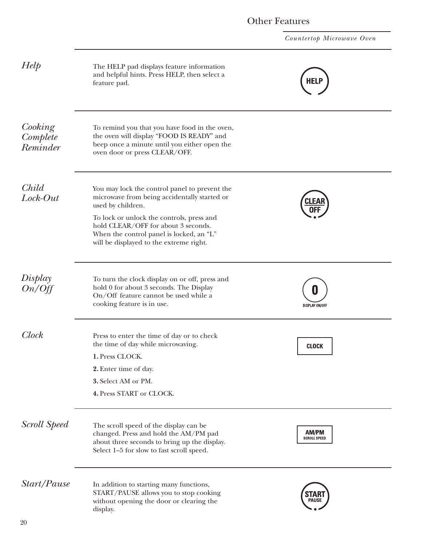*Countertop Microwave Oven*

<span id="page-19-0"></span>

| Help                            | The HELP pad displays feature information<br>and helpful hints. Press HELP, then select a<br>feature pad.                                                                                                                                                                                     | <b>HELP</b>                  |
|---------------------------------|-----------------------------------------------------------------------------------------------------------------------------------------------------------------------------------------------------------------------------------------------------------------------------------------------|------------------------------|
| Cooking<br>Complete<br>Reminder | To remind you that you have food in the oven,<br>the oven will display "FOOD IS READY" and<br>beep once a minute until you either open the<br>oven door or press CLEAR/OFF.                                                                                                                   |                              |
| Child<br>Lock-Out               | You may lock the control panel to prevent the<br>microwave from being accidentally started or<br>used by children.<br>To lock or unlock the controls, press and<br>hold CLEAR/OFF for about 3 seconds.<br>When the control panel is locked, an "L"<br>will be displayed to the extreme right. |                              |
| Display<br>On/Off               | To turn the clock display on or off, press and<br>hold 0 for about 3 seconds. The Display<br>On/Off feature cannot be used while a<br>cooking feature is in use.                                                                                                                              | <b>DISPLAY ON/OFF</b>        |
| <b>Clock</b>                    | Press to enter the time of day or to check<br>the time of day while microwaving.<br>1. Press CLOCK.<br>2. Enter time of day.<br>3. Select AM or PM.<br>4. Press START or CLOCK.                                                                                                               | <b>CLOCK</b>                 |
| <b>Scroll Speed</b>             | The scroll speed of the display can be<br>changed. Press and hold the AM/PM pad<br>about three seconds to bring up the display.<br>Select 1-5 for slow to fast scroll speed.                                                                                                                  | AM/PM<br><b>SCROLL SPEED</b> |
| Start/Pause                     | In addition to starting many functions,<br>START/PAUSE allows you to stop cooking<br>without opening the door or clearing the<br>display.                                                                                                                                                     | PAUSE                        |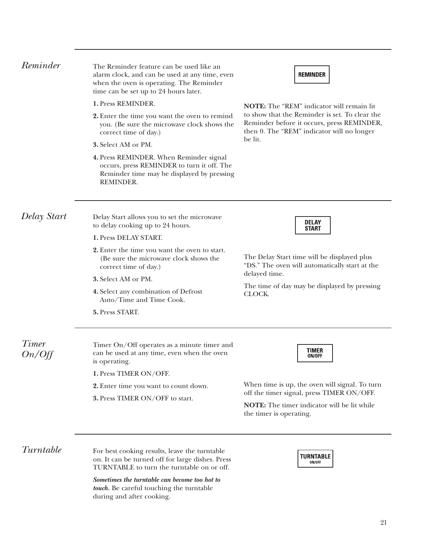<span id="page-20-0"></span>

| Reminder               | The Reminder feature can be used like an<br>alarm clock, and can be used at any time, even<br>when the oven is operating. The Reminder<br>time can be set up to 24 hours later. | <b>REMINDER</b><br><b>NOTE:</b> The "REM" indicator will remain lit<br>to show that the Reminder is set. To clear the<br>Reminder before it occurs, press REMINDER,<br>then 0. The "REM" indicator will no longer<br>be lit. |  |
|------------------------|---------------------------------------------------------------------------------------------------------------------------------------------------------------------------------|------------------------------------------------------------------------------------------------------------------------------------------------------------------------------------------------------------------------------|--|
|                        | 1. Press REMINDER.                                                                                                                                                              |                                                                                                                                                                                                                              |  |
|                        | <b>2.</b> Enter the time you want the oven to remind<br>you. (Be sure the microwave clock shows the<br>correct time of day.)                                                    |                                                                                                                                                                                                                              |  |
|                        | 3. Select AM or PM.                                                                                                                                                             |                                                                                                                                                                                                                              |  |
|                        | 4. Press REMINDER. When Reminder signal<br>occurs, press REMINDER to turn it off. The<br>Reminder time may be displayed by pressing<br>REMINDER.                                |                                                                                                                                                                                                                              |  |
| Delay Start            | Delay Start allows you to set the microwave<br>to delay cooking up to 24 hours.                                                                                                 | <b>DELAY</b><br><b>START</b>                                                                                                                                                                                                 |  |
|                        | 1. Press DELAY START.                                                                                                                                                           |                                                                                                                                                                                                                              |  |
|                        | 2. Enter the time you want the oven to start.<br>(Be sure the microwave clock shows the<br>correct time of day.)                                                                | The Delay Start time will be displayed plus<br>"DS." The oven will automatically start at the<br>delayed time.<br>The time of day may be displayed by pressing<br>CLOCK.                                                     |  |
|                        | 3. Select AM or PM.                                                                                                                                                             |                                                                                                                                                                                                                              |  |
|                        | 4. Select any combination of Defrost<br>Auto/Time and Time Cook.                                                                                                                |                                                                                                                                                                                                                              |  |
|                        | 5. Press START.                                                                                                                                                                 |                                                                                                                                                                                                                              |  |
| <b>Timer</b><br>On/Off | Timer On/Off operates as a minute timer and<br>can be used at any time, even when the oven<br>is operating.                                                                     | <b>TIMER</b><br>ON/OFF                                                                                                                                                                                                       |  |
|                        | 1. Press TIMER ON/OFF.                                                                                                                                                          |                                                                                                                                                                                                                              |  |
|                        | 2. Enter time you want to count down.                                                                                                                                           | When time is up, the oven will signal. To turn                                                                                                                                                                               |  |
|                        | 3. Press TIMER ON/OFF to start.                                                                                                                                                 | off the timer signal, press TIMER ON/OFF.<br><b>NOTE:</b> The timer indicator will be lit while<br>the timer is operating.                                                                                                   |  |
| Turntable              | For best cooking results, leave the turntable<br>on. It can be turned off for large dishes. Press<br>TURNTABLE to turn the turntable on or off.                                 | <b>TURNTABLE</b><br>ON/OFF                                                                                                                                                                                                   |  |

*Sometimes the turntable can become too hot to touch.* Be careful touching the turntable during and after cooking.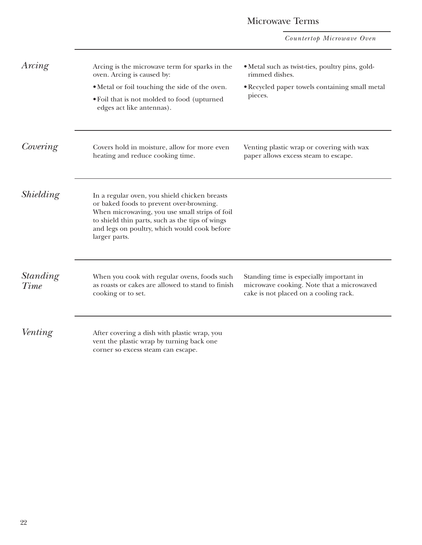# Microwave Terms

*Countertop Microwave Oven*

| Arcing                  | Arcing is the microwave term for sparks in the<br>oven. Arcing is caused by:<br>• Metal or foil touching the side of the oven.<br>• Foil that is not molded to food (upturned<br>edges act like antennas).                                                      | • Metal such as twist-ties, poultry pins, gold-<br>rimmed dishes.<br>· Recycled paper towels containing small metal<br>pieces. |
|-------------------------|-----------------------------------------------------------------------------------------------------------------------------------------------------------------------------------------------------------------------------------------------------------------|--------------------------------------------------------------------------------------------------------------------------------|
| Covering                | Covers hold in moisture, allow for more even<br>heating and reduce cooking time.                                                                                                                                                                                | Venting plastic wrap or covering with wax<br>paper allows excess steam to escape.                                              |
| Shielding               | In a regular oven, you shield chicken breasts<br>or baked foods to prevent over-browning.<br>When microwaving, you use small strips of foil<br>to shield thin parts, such as the tips of wings<br>and legs on poultry, which would cook before<br>larger parts. |                                                                                                                                |
| <i>Standing</i><br>Time | When you cook with regular ovens, foods such<br>as roasts or cakes are allowed to stand to finish<br>cooking or to set.                                                                                                                                         | Standing time is especially important in<br>microwave cooking. Note that a microwaved<br>cake is not placed on a cooling rack. |
| Venting                 | After covering a dish with plastic wrap, you<br>vent the plastic wrap by turning back one<br>corner so excess steam can escape.                                                                                                                                 |                                                                                                                                |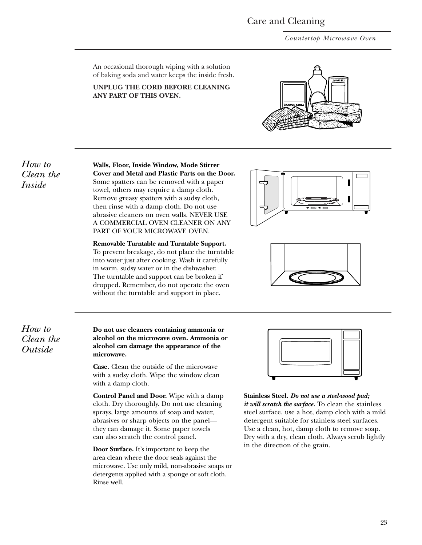# Care and Cleaning

*Countertop Microwave Oven*

<span id="page-22-0"></span>An occasional thorough wiping with a solution of baking soda and water keeps the inside fresh.

#### **UNPLUG THE CORD BEFORE CLEANING ANY PART OF THIS OVEN.**



*How to Clean the Inside*

**Walls, Floor, Inside Window, Mode Stirrer Cover and Metal and Plastic Parts on the Door.** Some spatters can be removed with a paper towel, others may require a damp cloth. Remove greasy spatters with a sudsy cloth, then rinse with a damp cloth. Do not use abrasive cleaners on oven walls. NEVER USE A COMMERCIAL OVEN CLEANER ON ANY PART OF YOUR MICROWAVE OVEN.

**Removable Turntable and Turntable Support.**  To prevent breakage, do not place the turntable into water just after cooking. Wash it carefully in warm, sudsy water or in the dishwasher. The turntable and support can be broken if dropped. Remember, do not operate the oven without the turntable and support in place.





*How to Clean the Outside*

**Do not use cleaners containing ammonia or alcohol on the microwave oven. Ammonia or alcohol can damage the appearance of the microwave.**

**Case.** Clean the outside of the microwave with a sudsy cloth. Wipe the window clean with a damp cloth.

**Control Panel and Door.** Wipe with a damp cloth. Dry thoroughly. Do not use cleaning sprays, large amounts of soap and water, abrasives or sharp objects on the panel they can damage it. Some paper towels can also scratch the control panel.

**Door Surface.** It's important to keep the area clean where the door seals against the microwave. Use only mild, non-abrasive soaps or detergents applied with a sponge or soft cloth. Rinse well.



**Stainless Steel.** *Do not use a steel-wood pad; it will scratch the surface.* To clean the stainless steel surface, use a hot, damp cloth with a mild detergent suitable for stainless steel surfaces. Use a clean, hot, damp cloth to remove soap. Dry with a dry, clean cloth. Always scrub lightly in the direction of the grain.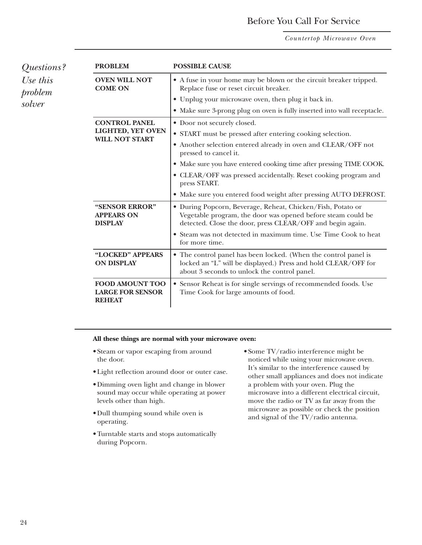# Before You Call For Service

*Countertop Microwave Oven*

<span id="page-23-0"></span>

| Questions?                    | <b>PROBLEM</b>                                                     | <b>POSSIBLE CAUSE</b>                                                                                                                                                                     |
|-------------------------------|--------------------------------------------------------------------|-------------------------------------------------------------------------------------------------------------------------------------------------------------------------------------------|
| Use this<br>problem<br>solver | <b>OVEN WILL NOT</b><br><b>COME ON</b>                             | • A fuse in your home may be blown or the circuit breaker tripped.<br>Replace fuse or reset circuit breaker.                                                                              |
|                               |                                                                    | • Unplug your microwave oven, then plug it back in.                                                                                                                                       |
|                               |                                                                    | • Make sure 3-prong plug on oven is fully inserted into wall receptacle.                                                                                                                  |
|                               | <b>CONTROL PANEL</b>                                               | • Door not securely closed.                                                                                                                                                               |
|                               | LIGHTED, YET OVEN<br><b>WILL NOT START</b>                         | • START must be pressed after entering cooking selection.                                                                                                                                 |
|                               |                                                                    | • Another selection entered already in oven and CLEAR/OFF not<br>pressed to cancel it.                                                                                                    |
|                               |                                                                    | • Make sure you have entered cooking time after pressing TIME COOK.                                                                                                                       |
|                               |                                                                    | • CLEAR/OFF was pressed accidentally. Reset cooking program and<br>press START.                                                                                                           |
|                               |                                                                    | • Make sure you entered food weight after pressing AUTO DEFROST.                                                                                                                          |
|                               | "SENSOR ERROR"<br><b>APPEARS ON</b><br><b>DISPLAY</b>              | · During Popcorn, Beverage, Reheat, Chicken/Fish, Potato or<br>Vegetable program, the door was opened before steam could be<br>detected. Close the door, press CLEAR/OFF and begin again. |
|                               |                                                                    | • Steam was not detected in maximum time. Use Time Cook to heat<br>for more time.                                                                                                         |
|                               | "LOCKED" APPEARS<br><b>ON DISPLAY</b>                              | • The control panel has been locked. (When the control panel is<br>locked an "L" will be displayed.) Press and hold CLEAR/OFF for<br>about 3 seconds to unlock the control panel.         |
|                               | <b>FOOD AMOUNT TOO</b><br><b>LARGE FOR SENSOR</b><br><b>REHEAT</b> | • Sensor Reheat is for single servings of recommended foods. Use<br>Time Cook for large amounts of food.                                                                                  |

#### **All these things are normal with your microwave oven:**

- Steam or vapor escaping from around the door.
- Light reflection around door or outer case.
- Dimming oven light and change in blower sound may occur while operating at power levels other than high.
- Dull thumping sound while oven is operating.
- Turntable starts and stops automatically during Popcorn.
- Some TV/radio interference might be noticed while using your microwave oven. It's similar to the interference caused by other small appliances and does not indicate a problem with your oven. Plug the microwave into a different electrical circuit, move the radio or TV as far away from the microwave as possible or check the position and signal of the TV/radio antenna.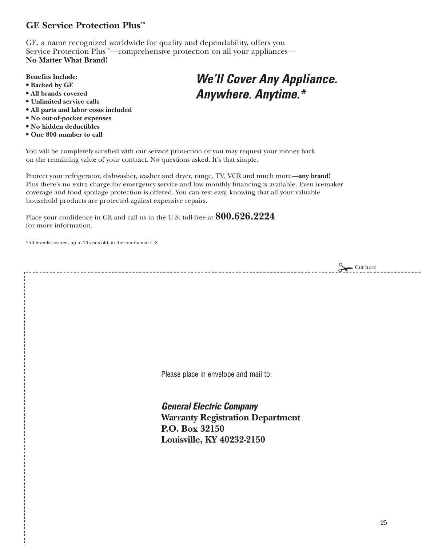# <span id="page-24-0"></span>**GE Service Protection Plus™**

GE, a name recognized worldwide for quality and dependability, offers you Service Protection Plus<sup>™</sup>—comprehensive protection on all your appliances— **No Matter What Brand!**

### **Benefits Include:**

- **• Backed by GE**
- **• All brands covered**
- **• Unlimited service calls**
- **• All parts and labor costs included**
- **• No out-of-pocket expenses**
- **• No hidden deductibles**
- **• One 800 number to call**

# *We'll Cover Any Appliance. Anywhere. Anytime.\**

You will be completely satisfied with our service protection or you may request your money back on the remaining value of your contract. No questions asked. It's that simple.

Protect your refrigerator, dishwasher, washer and dryer, range, TV, VCR and much more—**any brand!**  Plus there's no extra charge for emergency service and low monthly financing is available. Even icemaker coverage and food spoilage protection is offered. You can rest easy, knowing that all your valuable household products are protected against expensive repairs.

Place your confidence in GE and call us in the U.S. toll-free at **800.626.2224** for more information.

\*All brands covered, up to 20 years old, in the continental U.S.

 $\sum$ Cut here

Please place in envelope and mail to:

*General Electric Company* **Warranty Registration Department P.O. Box 32150 Louisville, KY 40232-2150**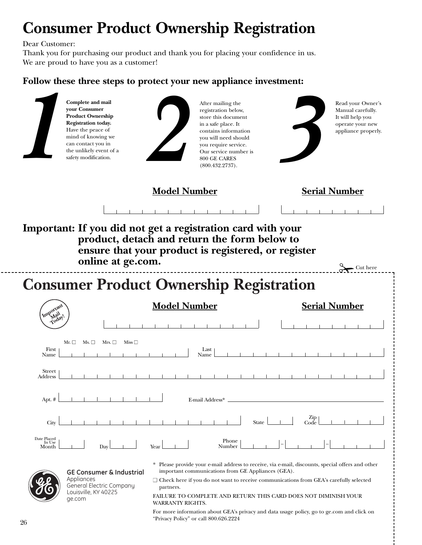# **Consumer Product Ownership Registration**

Dear Customer:

Thank you for purchasing our product and thank you for placing your confidence in us. We are proud to have you as a customer!

# **Follow these three steps to protect your new appliance investment:**

| your Consumer<br><b>Registration today.</b><br>Have the peace of<br>can contact you in<br>safety modification. | Complete and mail<br><b>Product Ownership</b><br>mind of knowing we<br>the unlikely event of a       | After mailing the<br>registration below,<br>store this document<br>in a safe place. It<br>contains information<br>you will need should<br>you require service.<br>Our service number is<br>800 GE CARES<br>(800.432.2737).                                                                                                                    |             | Read your Owner's<br>Manual carefully.<br>It will help you<br>operate your new<br>appliance properly. |
|----------------------------------------------------------------------------------------------------------------|------------------------------------------------------------------------------------------------------|-----------------------------------------------------------------------------------------------------------------------------------------------------------------------------------------------------------------------------------------------------------------------------------------------------------------------------------------------|-------------|-------------------------------------------------------------------------------------------------------|
|                                                                                                                |                                                                                                      | <b>Model Number</b>                                                                                                                                                                                                                                                                                                                           |             | <b>Serial Number</b>                                                                                  |
|                                                                                                                |                                                                                                      | Important: If you did not get a registration card with your                                                                                                                                                                                                                                                                                   |             |                                                                                                       |
|                                                                                                                | online at ge.com.                                                                                    | product, detach and return the form below to<br>ensure that your product is registered, or register                                                                                                                                                                                                                                           |             | $\sum$ Cut here                                                                                       |
|                                                                                                                |                                                                                                      | <b>Consumer Product Ownership Registration</b>                                                                                                                                                                                                                                                                                                |             |                                                                                                       |
| Important<br><i>Mail</i>                                                                                       |                                                                                                      | <b>Model Number</b>                                                                                                                                                                                                                                                                                                                           |             | <b>Serial Number</b>                                                                                  |
| Today                                                                                                          |                                                                                                      |                                                                                                                                                                                                                                                                                                                                               |             |                                                                                                       |
| Mr. $\square$<br>Ms. $\Box$<br>First<br>Name                                                                   | Mrs. $\Box$<br>Miss $\square$                                                                        | Last<br>Name                                                                                                                                                                                                                                                                                                                                  |             |                                                                                                       |
| <b>Street</b><br>Address                                                                                       |                                                                                                      |                                                                                                                                                                                                                                                                                                                                               |             |                                                                                                       |
| Apt. #                                                                                                         |                                                                                                      | E-mail Address* _                                                                                                                                                                                                                                                                                                                             |             |                                                                                                       |
| City                                                                                                           |                                                                                                      | <b>State</b>                                                                                                                                                                                                                                                                                                                                  | Zip<br>Code |                                                                                                       |
| ${\rm Date \ Placed} \\ {\rm In \ Use}$<br>Month                                                               | Day<br>Year                                                                                          | Phone<br>Number                                                                                                                                                                                                                                                                                                                               |             |                                                                                                       |
| Appliances<br>ge.com                                                                                           | <b>GE Consumer &amp; Industrial</b><br>General Electric Company<br>partners.<br>Louisville, KY 40225 | * Please provide your e-mail address to receive, via e-mail, discounts, special offers and other<br>important communications from GE Appliances (GEA).<br>$\Box$ Check here if you do not want to receive communications from GEA's carefully selected<br>FAILURE TO COMPLETE AND RETURN THIS CARD DOES NOT DIMINISH YOUR<br>WARRANTY RIGHTS. |             |                                                                                                       |

For more information about GEA's privacy and data usage policy, go to ge.com and click on "Privacy Policy" or call 800.626.2224 <sup>26</sup>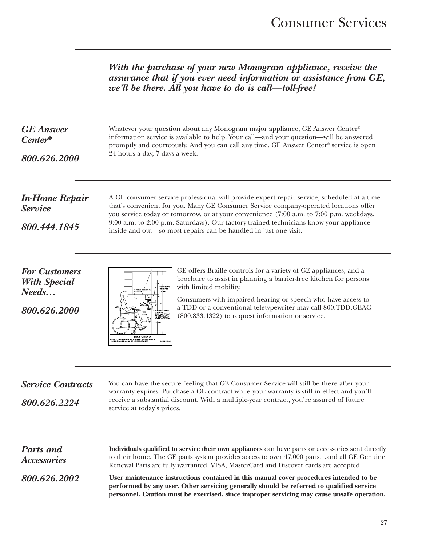*With the purchase of your new Monogram appliance, receive the assurance that if you ever need information or assistance from GE, we'll be there. All you have to do is call—toll-free!*

| <b>GE</b> Answer<br><b>Center</b> ®<br>800.626.2000                  | Whatever your question about any Monogram major appliance, GE Answer Center®<br>information service is available to help. Your call-and your question-will be answered<br>promptly and courteously. And you can call any time. GE Answer Center® service is open<br>24 hours a day, 7 days a week.                                                                                                                                          |  |  |
|----------------------------------------------------------------------|---------------------------------------------------------------------------------------------------------------------------------------------------------------------------------------------------------------------------------------------------------------------------------------------------------------------------------------------------------------------------------------------------------------------------------------------|--|--|
| <b>In-Home Repair</b><br><b>Service</b><br>800.444.1845              | A GE consumer service professional will provide expert repair service, scheduled at a time<br>that's convenient for you. Many GE Consumer Service company-operated locations offer<br>you service today or tomorrow, or at your convenience (7:00 a.m. to 7:00 p.m. weekdays,<br>9:00 a.m. to 2:00 p.m. Saturdays). Our factory-trained technicians know your appliance<br>inside and out-so most repairs can be handled in just one visit. |  |  |
| <b>For Customers</b><br><b>With Special</b><br>Needs<br>800.626.2000 | GE offers Braille controls for a variety of GE appliances, and a<br>brochure to assist in planning a barrier-free kitchen for persons<br>with limited mobility.<br>Consumers with impaired hearing or speech who have access to<br>a TDD or a conventional teletypewriter may call 800.TDD.GEAC<br>(800.833.4322) to request information or service.<br><b>SECTION A A</b>                                                                  |  |  |
| <b>Service Contracts</b><br>800.626.2224                             | You can have the secure feeling that GE Consumer Service will still be there after your<br>warranty expires. Purchase a GE contract while your warranty is still in effect and you'll<br>receive a substantial discount. With a multiple-year contract, you're assured of future<br>service at today's prices.                                                                                                                              |  |  |
| <b>Parts and</b>                                                     | Individuals qualified to service their own appliances can have parts or accessories sent directly                                                                                                                                                                                                                                                                                                                                           |  |  |

*800.626.2002*

*Accessories*

**Individuals qualified to service their own appliances** can have parts or accessories sent directly to their home. The GE parts system provides access to over 47,000 parts…and all GE Genuine Renewal Parts are fully warranted. VISA, MasterCard and Discover cards are accepted.

**User maintenance instructions contained in this manual cover procedures intended to be performed by any user. Other servicing generally should be referred to qualified service personnel. Caution must be exercised, since improper servicing may cause unsafe operation.**